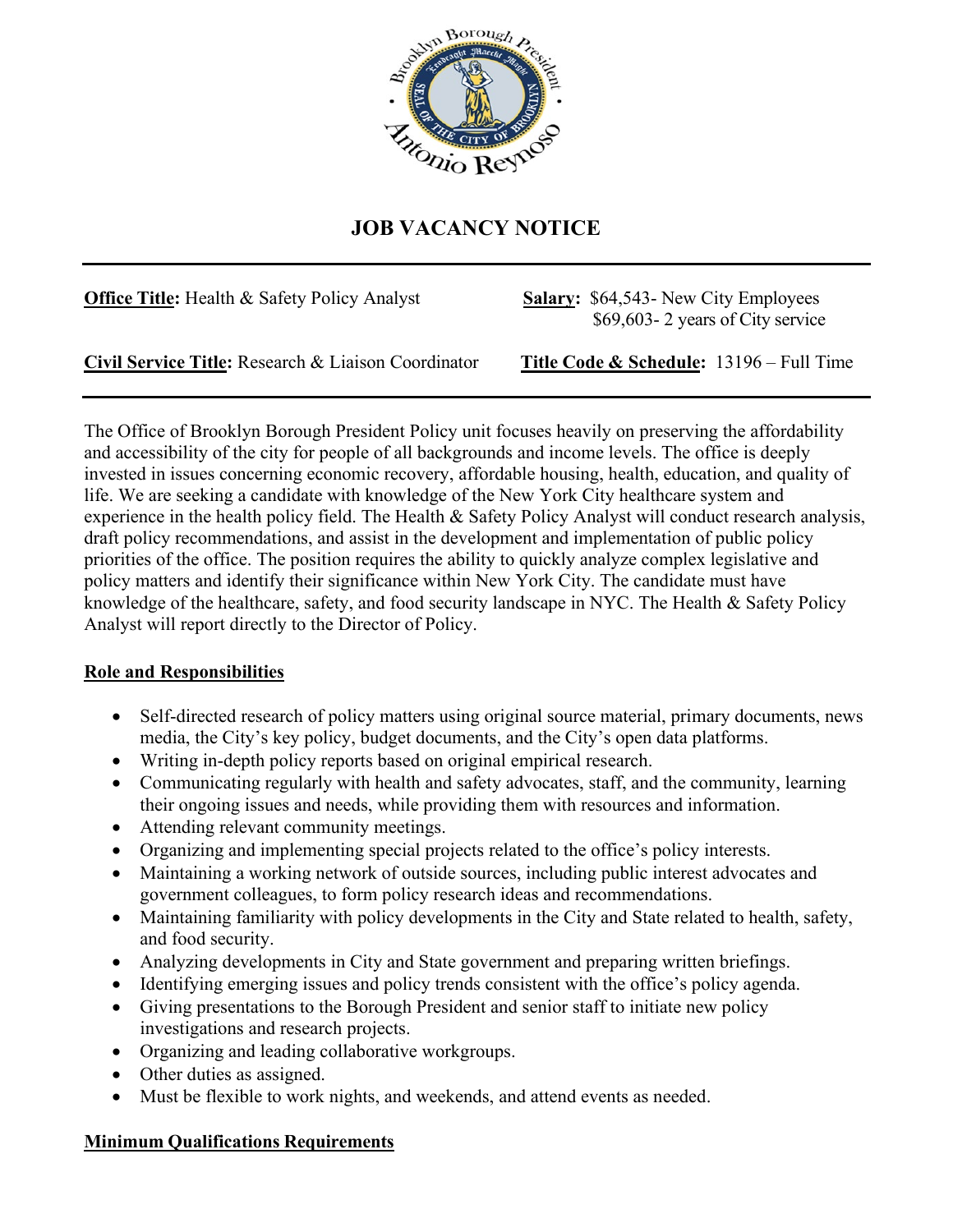

## **JOB VACANCY NOTICE**

| <b>Office Title:</b> Health & Safety Policy Analyst | <b>Salary: \$64,543- New City Employees</b><br>\$69,603 - 2 years of City service |
|-----------------------------------------------------|-----------------------------------------------------------------------------------|
| Civil Service Title: Research & Liaison Coordinator | <b>Title Code &amp; Schedule: 13196 – Full Time</b>                               |

The Office of Brooklyn Borough President Policy unit focuses heavily on preserving the affordability and accessibility of the city for people of all backgrounds and income levels. The office is deeply invested in issues concerning economic recovery, affordable housing, health, education, and quality of life. We are seeking a candidate with knowledge of the New York City healthcare system and experience in the health policy field. The Health & Safety Policy Analyst will conduct research analysis, draft policy recommendations, and assist in the development and implementation of public policy priorities of the office. The position requires the ability to quickly analyze complex legislative and policy matters and identify their significance within New York City. The candidate must have knowledge of the healthcare, safety, and food security landscape in NYC. The Health & Safety Policy Analyst will report directly to the Director of Policy.

## **Role and Responsibilities**

- Self-directed research of policy matters using original source material, primary documents, news media, the City's key policy, budget documents, and the City's open data platforms.
- Writing in-depth policy reports based on original empirical research.
- Communicating regularly with health and safety advocates, staff, and the community, learning their ongoing issues and needs, while providing them with resources and information.
- Attending relevant community meetings.
- Organizing and implementing special projects related to the office's policy interests.
- Maintaining a working network of outside sources, including public interest advocates and government colleagues, to form policy research ideas and recommendations.
- Maintaining familiarity with policy developments in the City and State related to health, safety, and food security.
- Analyzing developments in City and State government and preparing written briefings.
- Identifying emerging issues and policy trends consistent with the office's policy agenda.
- Giving presentations to the Borough President and senior staff to initiate new policy investigations and research projects.
- Organizing and leading collaborative workgroups.
- Other duties as assigned.
- Must be flexible to work nights, and weekends, and attend events as needed.

## **Minimum Qualifications Requirements**